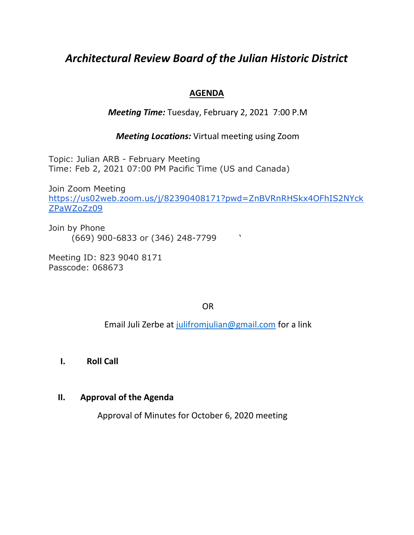# *Architectural Review Board of the Julian Historic District*

#### **AGENDA**

#### *Meeting Time:* Tuesday, February 2, 2021 7:00 P.M

#### *Meeting Locations:* Virtual meeting using Zoom

Topic: Julian ARB - February Meeting Time: Feb 2, 2021 07:00 PM Pacific Time (US and Canada)

Join Zoom Meeting [https://us02web.zoom.us/j/82390408171?pwd=ZnBVRnRHSkx4OFhIS2NYck](https://us02web.zoom.us/j/82390408171?pwd=ZnBVRnRHSkx4OFhIS2NYckZPaWZoZz09) [ZPaWZoZz09](https://us02web.zoom.us/j/82390408171?pwd=ZnBVRnRHSkx4OFhIS2NYckZPaWZoZz09)

Join by Phone (669) 900-6833 or (346) 248-7799 '

Meeting ID: 823 9040 8171 Passcode: 068673

OR

Email Juli Zerbe at [julifromjulian@gmail.com](mailto:julifromjulian@gmail.com) for a link

**I. Roll Call** 

#### **II. Approval of the Agenda**

Approval of Minutes for October 6, 2020 meeting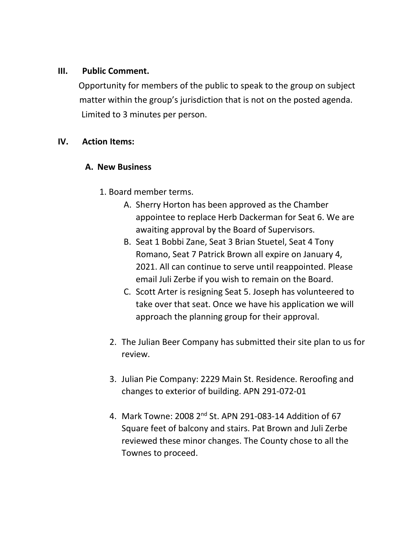#### **III. Public Comment.**

 Opportunity for members of the public to speak to the group on subject matter within the group's jurisdiction that is not on the posted agenda. Limited to 3 minutes per person.

## **IV. Action Items:**

## **A. New Business**

- 1. Board member terms.
	- A. Sherry Horton has been approved as the Chamber appointee to replace Herb Dackerman for Seat 6. We are awaiting approval by the Board of Supervisors.
	- B. Seat 1 Bobbi Zane, Seat 3 Brian Stuetel, Seat 4 Tony Romano, Seat 7 Patrick Brown all expire on January 4, 2021. All can continue to serve until reappointed. Please email Juli Zerbe if you wish to remain on the Board.
	- C. Scott Arter is resigning Seat 5. Joseph has volunteered to take over that seat. Once we have his application we will approach the planning group for their approval.
	- 2. The Julian Beer Company has submitted their site plan to us for review.
	- 3. Julian Pie Company: 2229 Main St. Residence. Reroofing and changes to exterior of building. APN 291-072-01
	- 4. Mark Towne: 2008 2<sup>nd</sup> St. APN 291-083-14 Addition of 67 Square feet of balcony and stairs. Pat Brown and Juli Zerbe reviewed these minor changes. The County chose to all the Townes to proceed.